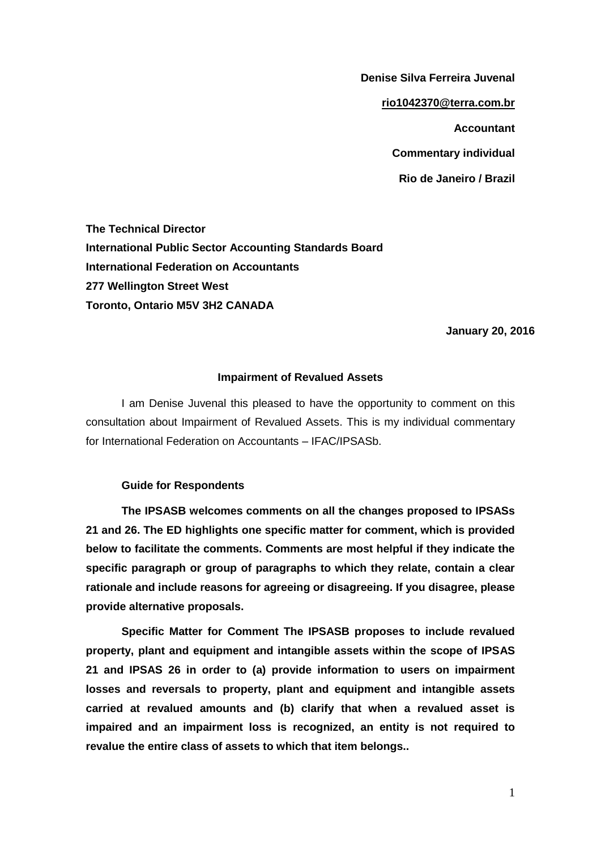**Denise Silva Ferreira Juvenal [rio1042370@terra.com.br](mailto:rio1042370@terra.com.br) Accountant Commentary individual Rio de Janeiro / Brazil**

**The Technical Director International Public Sector Accounting Standards Board International Federation on Accountants 277 Wellington Street West Toronto, Ontario M5V 3H2 CANADA** 

 **January 20, 2016**

## **Impairment of Revalued Assets**

I am Denise Juvenal this pleased to have the opportunity to comment on this consultation about Impairment of Revalued Assets. This is my individual commentary for International Federation on Accountants – IFAC/IPSASb.

## **Guide for Respondents**

**The IPSASB welcomes comments on all the changes proposed to IPSASs 21 and 26. The ED highlights one specific matter for comment, which is provided below to facilitate the comments. Comments are most helpful if they indicate the specific paragraph or group of paragraphs to which they relate, contain a clear rationale and include reasons for agreeing or disagreeing. If you disagree, please provide alternative proposals.** 

**Specific Matter for Comment The IPSASB proposes to include revalued property, plant and equipment and intangible assets within the scope of IPSAS 21 and IPSAS 26 in order to (a) provide information to users on impairment losses and reversals to property, plant and equipment and intangible assets carried at revalued amounts and (b) clarify that when a revalued asset is impaired and an impairment loss is recognized, an entity is not required to revalue the entire class of assets to which that item belongs..**